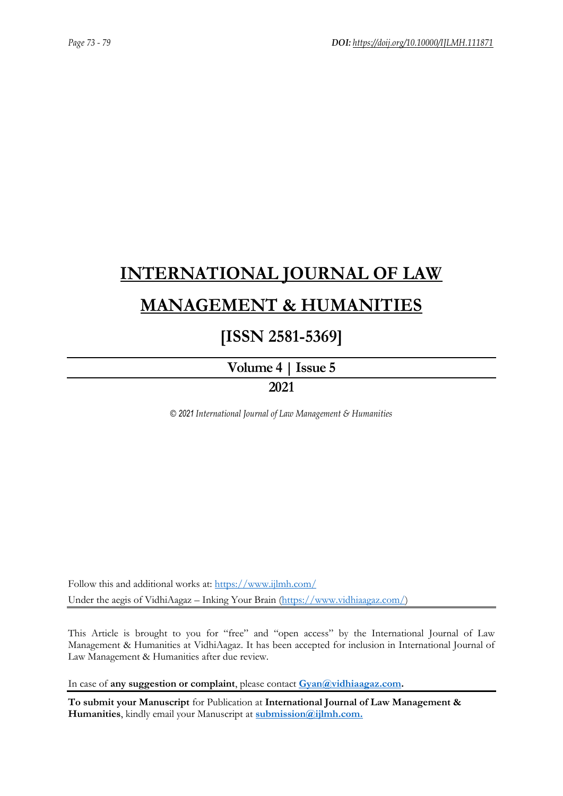# **[INTERNATIONAL JOURNAL OF LAW](https://www.ijlmh.com/)  [MANAGEMENT & HUMANITIES](https://www.ijlmh.com/)**

# **[ISSN 2581-5369]**

**[Volume 4 |](https://www.ijlmh.com/publications/volume-iv-issue-v/) Issue 5 2021**

*© 2021 International Journal of Law Management & Humanities*

Follow this and additional works at:<https://www.ijlmh.com/> Under the aegis of VidhiAagaz – Inking Your Brain [\(https://www.vidhiaagaz.com/\)](https://www.vidhiaagaz.com/)

This Article is brought to you for "free" and "open access" by the International Journal of Law Management & Humanities at VidhiAagaz. It has been accepted for inclusion in International Journal of Law Management & Humanities after due review.

In case of **any suggestion or complaint**, please contact **[Gyan@vidhiaagaz.com.](mailto:Gyan@vidhiaagaz.com)** 

**To submit your Manuscript** for Publication at **International Journal of Law Management & Humanities**, kindly email your Manuscript at **[submission@ijlmh.com.](mailto:submission@ijlmh.com)**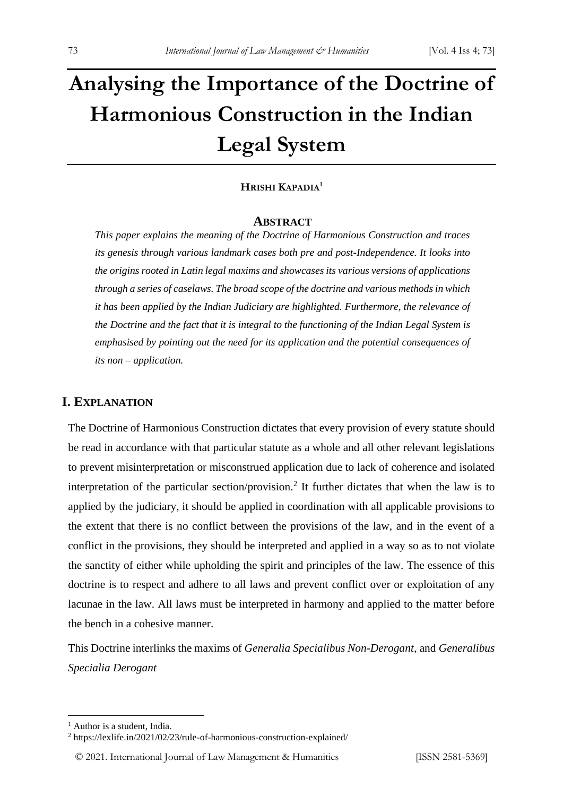# **Analysing the Importance of the Doctrine of Harmonious Construction in the Indian Legal System**

## **HRISHI KAPADIA<sup>1</sup>**

#### **ABSTRACT**

*This paper explains the meaning of the Doctrine of Harmonious Construction and traces its genesis through various landmark cases both pre and post-Independence. It looks into the origins rooted in Latin legal maxims and showcases its various versions of applications through a series of caselaws. The broad scope of the doctrine and various methods in which it has been applied by the Indian Judiciary are highlighted. Furthermore, the relevance of the Doctrine and the fact that it is integral to the functioning of the Indian Legal System is emphasised by pointing out the need for its application and the potential consequences of its non – application.*

# **I. EXPLANATION**

The Doctrine of Harmonious Construction dictates that every provision of every statute should be read in accordance with that particular statute as a whole and all other relevant legislations to prevent misinterpretation or misconstrued application due to lack of coherence and isolated interpretation of the particular section/provision.<sup>2</sup> It further dictates that when the law is to applied by the judiciary, it should be applied in coordination with all applicable provisions to the extent that there is no conflict between the provisions of the law, and in the event of a conflict in the provisions, they should be interpreted and applied in a way so as to not violate the sanctity of either while upholding the spirit and principles of the law. The essence of this doctrine is to respect and adhere to all laws and prevent conflict over or exploitation of any lacunae in the law. All laws must be interpreted in harmony and applied to the matter before the bench in a cohesive manner.

This Doctrine interlinks the maxims of *Generalia Specialibus Non-Derogant,* and *Generalibus Specialia Derogant*

<sup>&</sup>lt;sup>1</sup> Author is a student, India.

<sup>2</sup> https://lexlife.in/2021/02/23/rule-of-harmonious-construction-explained/

<sup>© 2021.</sup> International Journal of [Law Management & Humanities](https://www.ijlmh.com/) [ISSN 2581-5369]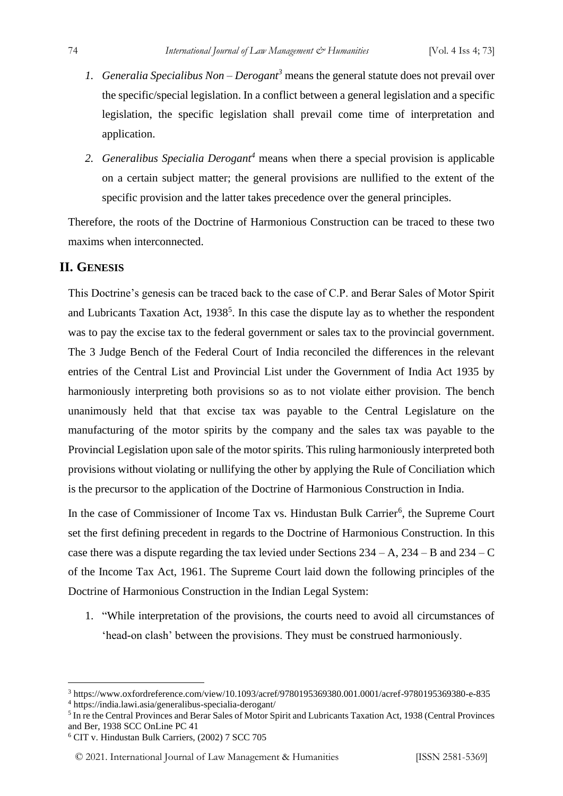- *1. Generalia Specialibus Non – Derogant<sup>3</sup>* means the general statute does not prevail over the specific/special legislation. In a conflict between a general legislation and a specific legislation, the specific legislation shall prevail come time of interpretation and application.
- *2. Generalibus Specialia Derogant<sup>4</sup>* means when there a special provision is applicable on a certain subject matter; the general provisions are nullified to the extent of the specific provision and the latter takes precedence over the general principles.

Therefore, the roots of the Doctrine of Harmonious Construction can be traced to these two maxims when interconnected.

# **II. GENESIS**

This Doctrine's genesis can be traced back to the case of C.P. and Berar Sales of Motor Spirit and Lubricants Taxation Act,  $1938<sup>5</sup>$ . In this case the dispute lay as to whether the respondent was to pay the excise tax to the federal government or sales tax to the provincial government. The 3 Judge Bench of the Federal Court of India reconciled the differences in the relevant entries of the Central List and Provincial List under the Government of India Act 1935 by harmoniously interpreting both provisions so as to not violate either provision. The bench unanimously held that that excise tax was payable to the Central Legislature on the manufacturing of the motor spirits by the company and the sales tax was payable to the Provincial Legislation upon sale of the motor spirits. This ruling harmoniously interpreted both provisions without violating or nullifying the other by applying the Rule of Conciliation which is the precursor to the application of the Doctrine of Harmonious Construction in India.

In the case of Commissioner of Income Tax vs. Hindustan Bulk Carrier<sup>6</sup>, the Supreme Court set the first defining precedent in regards to the Doctrine of Harmonious Construction. In this case there was a dispute regarding the tax levied under Sections  $234 - A$ ,  $234 - B$  and  $234 - C$ of the Income Tax Act, 1961. The Supreme Court laid down the following principles of the Doctrine of Harmonious Construction in the Indian Legal System:

1. "While interpretation of the provisions, the courts need to avoid all circumstances of 'head-on clash' between the provisions. They must be construed harmoniously.

<sup>6</sup> CIT v. Hindustan Bulk Carriers, (2002) 7 SCC 705

<sup>3</sup> https://www.oxfordreference.com/view/10.1093/acref/9780195369380.001.0001/acref-9780195369380-e-835 <sup>4</sup> https://india.lawi.asia/generalibus-specialia-derogant/

<sup>&</sup>lt;sup>5</sup> In re the Central Provinces and Berar Sales of Motor Spirit and Lubricants Taxation Act, 1938 (Central Provinces and Ber, 1938 SCC OnLine PC 41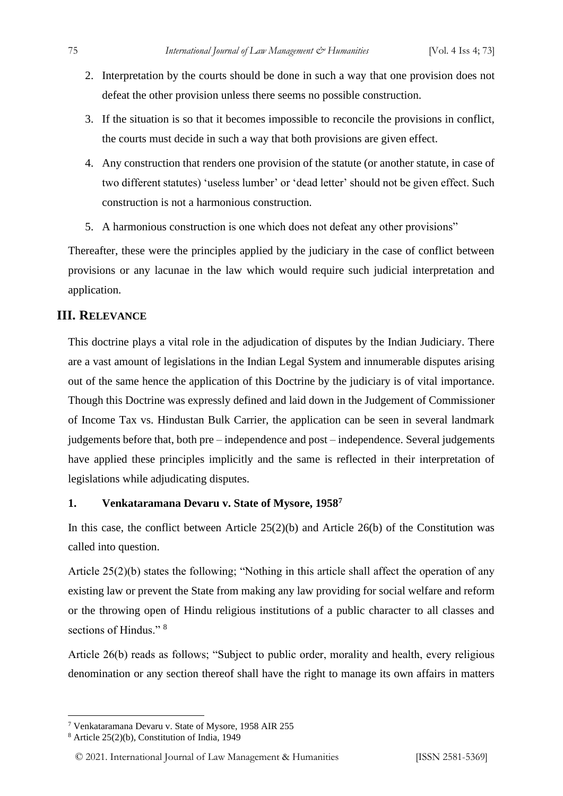- 2. Interpretation by the courts should be done in such a way that one provision does not defeat the other provision unless there seems no possible construction.
- 3. If the situation is so that it becomes impossible to reconcile the provisions in conflict, the courts must decide in such a way that both provisions are given effect.
- 4. Any construction that renders one provision of the statute (or another statute, in case of two different statutes) 'useless lumber' or 'dead letter' should not be given effect. Such construction is not a harmonious construction.
- 5. A harmonious construction is one which does not defeat any other provisions"

Thereafter, these were the principles applied by the judiciary in the case of conflict between provisions or any lacunae in the law which would require such judicial interpretation and application.

#### **III. RELEVANCE**

This doctrine plays a vital role in the adjudication of disputes by the Indian Judiciary. There are a vast amount of legislations in the Indian Legal System and innumerable disputes arising out of the same hence the application of this Doctrine by the judiciary is of vital importance. Though this Doctrine was expressly defined and laid down in the Judgement of Commissioner of Income Tax vs. Hindustan Bulk Carrier, the application can be seen in several landmark judgements before that, both pre – independence and post – independence. Several judgements have applied these principles implicitly and the same is reflected in their interpretation of legislations while adjudicating disputes.

## **1. Venkataramana Devaru v. State of Mysore, 1958<sup>7</sup>**

In this case, the conflict between Article  $25(2)(b)$  and Article  $26(b)$  of the Constitution was called into question.

Article 25(2)(b) states the following; "Nothing in this article shall affect the operation of any existing law or prevent the State from making any law providing for social welfare and reform or the throwing open of Hindu religious institutions of a public character to all classes and sections of Hindus."<sup>8</sup>

Article 26(b) reads as follows; "Subject to public order, morality and health, every religious denomination or any section thereof shall have the right to manage its own affairs in matters

<sup>7</sup> Venkataramana Devaru v. State of Mysore, 1958 AIR 255

<sup>8</sup> Article 25(2)(b), Constitution of India, 1949

<sup>© 2021.</sup> International Journal of [Law Management & Humanities](https://www.ijlmh.com/) [ISSN 2581-5369]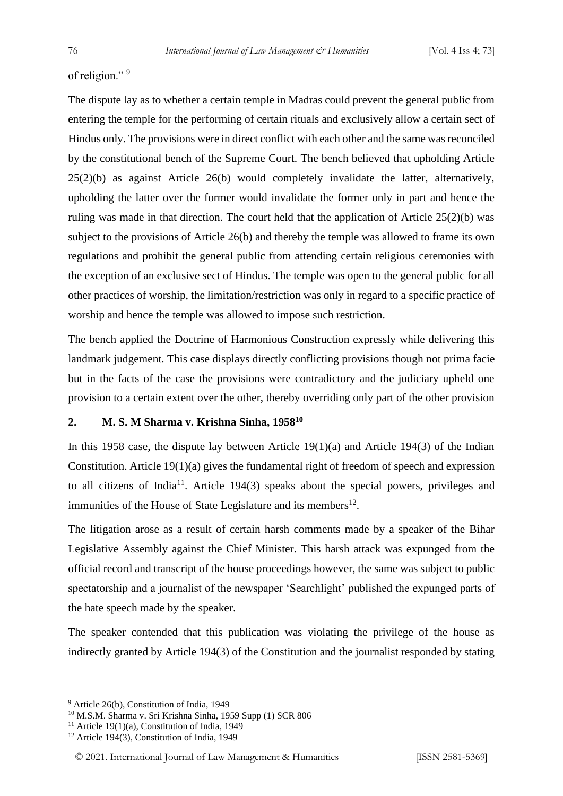of religion."<sup>9</sup>

The dispute lay as to whether a certain temple in Madras could prevent the general public from entering the temple for the performing of certain rituals and exclusively allow a certain sect of Hindus only. The provisions were in direct conflict with each other and the same was reconciled by the constitutional bench of the Supreme Court. The bench believed that upholding Article 25(2)(b) as against Article 26(b) would completely invalidate the latter, alternatively, upholding the latter over the former would invalidate the former only in part and hence the ruling was made in that direction. The court held that the application of Article 25(2)(b) was subject to the provisions of Article 26(b) and thereby the temple was allowed to frame its own regulations and prohibit the general public from attending certain religious ceremonies with the exception of an exclusive sect of Hindus. The temple was open to the general public for all other practices of worship, the limitation/restriction was only in regard to a specific practice of worship and hence the temple was allowed to impose such restriction.

The bench applied the Doctrine of Harmonious Construction expressly while delivering this landmark judgement. This case displays directly conflicting provisions though not prima facie but in the facts of the case the provisions were contradictory and the judiciary upheld one provision to a certain extent over the other, thereby overriding only part of the other provision

#### **2. M. S. M Sharma v. Krishna Sinha, 1958<sup>10</sup>**

In this 1958 case, the dispute lay between Article 19(1)(a) and Article 194(3) of the Indian Constitution. Article 19(1)(a) gives the fundamental right of freedom of speech and expression to all citizens of India<sup>11</sup>. Article 194(3) speaks about the special powers, privileges and immunities of the House of State Legislature and its members<sup>12</sup>.

The litigation arose as a result of certain harsh comments made by a speaker of the Bihar Legislative Assembly against the Chief Minister. This harsh attack was expunged from the official record and transcript of the house proceedings however, the same was subject to public spectatorship and a journalist of the newspaper 'Searchlight' published the expunged parts of the hate speech made by the speaker.

The speaker contended that this publication was violating the privilege of the house as indirectly granted by Article 194(3) of the Constitution and the journalist responded by stating

<sup>9</sup> Article 26(b), Constitution of India, 1949

<sup>10</sup> M.S.M. Sharma v. Sri Krishna Sinha, 1959 Supp (1) SCR 806

<sup>&</sup>lt;sup>11</sup> Article 19(1)(a), Constitution of India, 1949

<sup>12</sup> Article 194(3), Constitution of India, 1949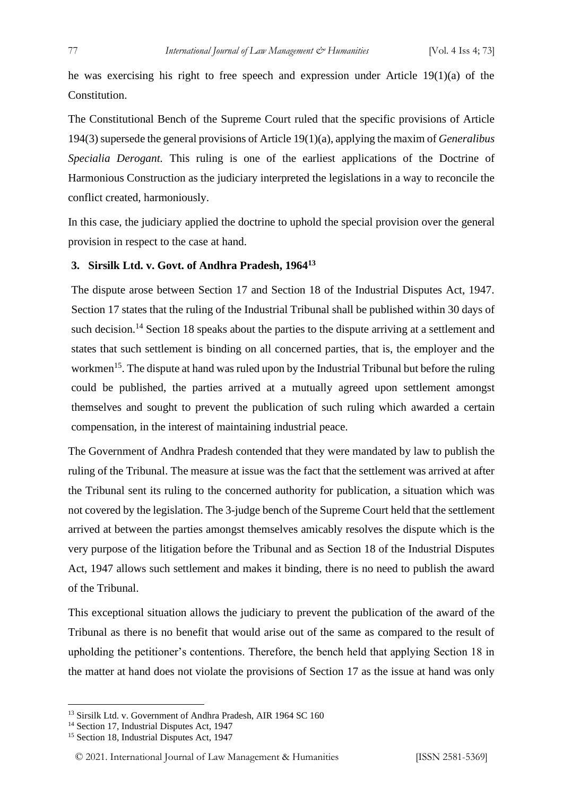he was exercising his right to free speech and expression under Article 19(1)(a) of the Constitution.

The Constitutional Bench of the Supreme Court ruled that the specific provisions of Article 194(3) supersede the general provisions of Article 19(1)(a), applying the maxim of *Generalibus Specialia Derogant.* This ruling is one of the earliest applications of the Doctrine of Harmonious Construction as the judiciary interpreted the legislations in a way to reconcile the conflict created, harmoniously.

In this case, the judiciary applied the doctrine to uphold the special provision over the general provision in respect to the case at hand.

#### **3. Sirsilk Ltd. v. Govt. of Andhra Pradesh, 1964<sup>13</sup>**

The dispute arose between Section 17 and Section 18 of the Industrial Disputes Act, 1947. Section 17 states that the ruling of the Industrial Tribunal shall be published within 30 days of such decision.<sup>14</sup> Section 18 speaks about the parties to the dispute arriving at a settlement and states that such settlement is binding on all concerned parties, that is, the employer and the workmen<sup>15</sup>. The dispute at hand was ruled upon by the Industrial Tribunal but before the ruling could be published, the parties arrived at a mutually agreed upon settlement amongst themselves and sought to prevent the publication of such ruling which awarded a certain compensation, in the interest of maintaining industrial peace.

The Government of Andhra Pradesh contended that they were mandated by law to publish the ruling of the Tribunal. The measure at issue was the fact that the settlement was arrived at after the Tribunal sent its ruling to the concerned authority for publication, a situation which was not covered by the legislation. The 3-judge bench of the Supreme Court held that the settlement arrived at between the parties amongst themselves amicably resolves the dispute which is the very purpose of the litigation before the Tribunal and as Section 18 of the Industrial Disputes Act, 1947 allows such settlement and makes it binding, there is no need to publish the award of the Tribunal.

This exceptional situation allows the judiciary to prevent the publication of the award of the Tribunal as there is no benefit that would arise out of the same as compared to the result of upholding the petitioner's contentions. Therefore, the bench held that applying Section 18 in the matter at hand does not violate the provisions of Section 17 as the issue at hand was only

<sup>&</sup>lt;sup>13</sup> Sirsilk Ltd. v. Government of Andhra Pradesh, AIR 1964 SC 160

<sup>&</sup>lt;sup>14</sup> Section 17, Industrial Disputes Act, 1947

<sup>15</sup> Section 18, Industrial Disputes Act, 1947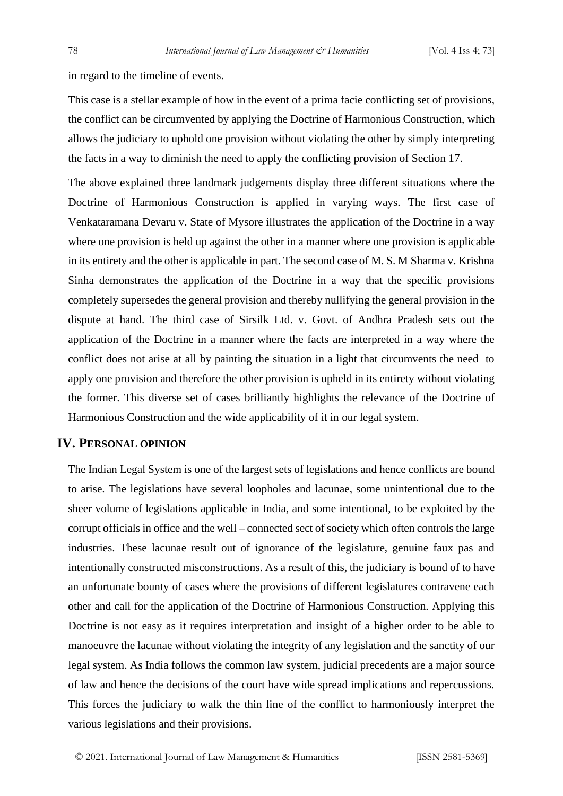in regard to the timeline of events.

This case is a stellar example of how in the event of a prima facie conflicting set of provisions, the conflict can be circumvented by applying the Doctrine of Harmonious Construction, which allows the judiciary to uphold one provision without violating the other by simply interpreting the facts in a way to diminish the need to apply the conflicting provision of Section 17.

The above explained three landmark judgements display three different situations where the Doctrine of Harmonious Construction is applied in varying ways. The first case of Venkataramana Devaru v. State of Mysore illustrates the application of the Doctrine in a way where one provision is held up against the other in a manner where one provision is applicable in its entirety and the other is applicable in part. The second case of M. S. M Sharma v. Krishna Sinha demonstrates the application of the Doctrine in a way that the specific provisions completely supersedes the general provision and thereby nullifying the general provision in the dispute at hand. The third case of Sirsilk Ltd. v. Govt. of Andhra Pradesh sets out the application of the Doctrine in a manner where the facts are interpreted in a way where the conflict does not arise at all by painting the situation in a light that circumvents the need to apply one provision and therefore the other provision is upheld in its entirety without violating the former. This diverse set of cases brilliantly highlights the relevance of the Doctrine of Harmonious Construction and the wide applicability of it in our legal system.

## **IV. PERSONAL OPINION**

The Indian Legal System is one of the largest sets of legislations and hence conflicts are bound to arise. The legislations have several loopholes and lacunae, some unintentional due to the sheer volume of legislations applicable in India, and some intentional, to be exploited by the corrupt officials in office and the well – connected sect of society which often controls the large industries. These lacunae result out of ignorance of the legislature, genuine faux pas and intentionally constructed misconstructions. As a result of this, the judiciary is bound of to have an unfortunate bounty of cases where the provisions of different legislatures contravene each other and call for the application of the Doctrine of Harmonious Construction. Applying this Doctrine is not easy as it requires interpretation and insight of a higher order to be able to manoeuvre the lacunae without violating the integrity of any legislation and the sanctity of our legal system. As India follows the common law system, judicial precedents are a major source of law and hence the decisions of the court have wide spread implications and repercussions. This forces the judiciary to walk the thin line of the conflict to harmoniously interpret the various legislations and their provisions.